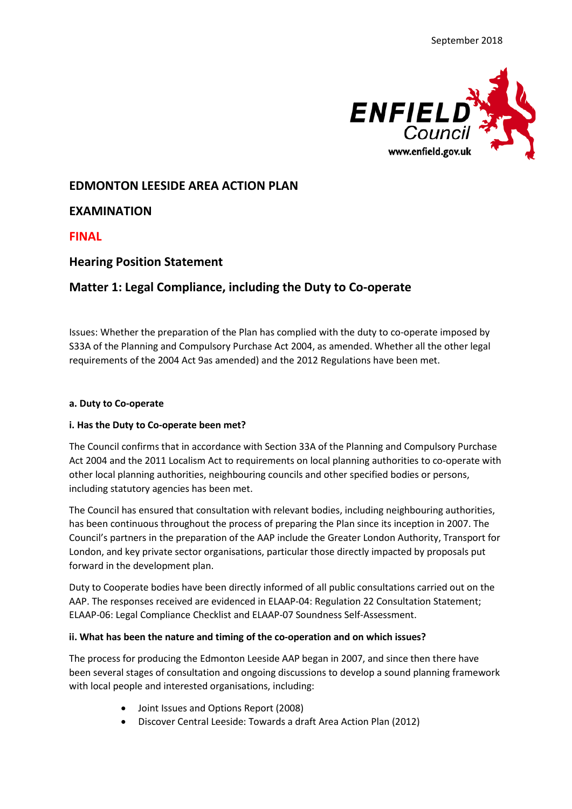

# **EDMONTON LEESIDE AREA ACTION PLAN**

**EXAMINATION**

**FINAL**

# **Hearing Position Statement**

# **Matter 1: Legal Compliance, including the Duty to Co-operate**

Issues: Whether the preparation of the Plan has complied with the duty to co-operate imposed by S33A of the Planning and Compulsory Purchase Act 2004, as amended. Whether all the other legal requirements of the 2004 Act 9as amended) and the 2012 Regulations have been met.

#### **a. Duty to Co-operate**

### **i. Has the Duty to Co-operate been met?**

The Council confirms that in accordance with Section 33A of the Planning and Compulsory Purchase Act 2004 and the 2011 Localism Act to requirements on local planning authorities to co-operate with other local planning authorities, neighbouring councils and other specified bodies or persons, including statutory agencies has been met.

The Council has ensured that consultation with relevant bodies, including neighbouring authorities, has been continuous throughout the process of preparing the Plan since its inception in 2007. The Council's partners in the preparation of the AAP include the Greater London Authority, Transport for London, and key private sector organisations, particular those directly impacted by proposals put forward in the development plan.

Duty to Cooperate bodies have been directly informed of all public consultations carried out on the AAP. The responses received are evidenced in ELAAP-04: Regulation 22 Consultation Statement; ELAAP-06: Legal Compliance Checklist and ELAAP-07 Soundness Self-Assessment.

### **ii. What has been the nature and timing of the co-operation and on which issues?**

The process for producing the Edmonton Leeside AAP began in 2007, and since then there have been several stages of consultation and ongoing discussions to develop a sound planning framework with local people and interested organisations, including:

- Joint Issues and Options Report (2008)
- Discover Central Leeside: Towards a draft Area Action Plan (2012)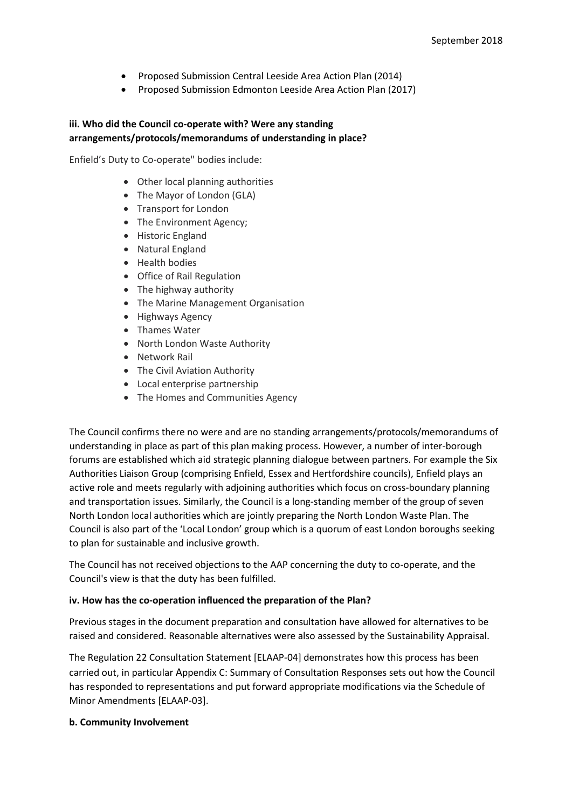- Proposed Submission Central Leeside Area Action Plan (2014)
- Proposed Submission Edmonton Leeside Area Action Plan (2017)

### **iii. Who did the Council co-operate with? Were any standing arrangements/protocols/memorandums of understanding in place?**

Enfield's Duty to Co-operate" bodies include:

- Other local planning authorities
- The Mayor of London (GLA)
- Transport for London
- The Environment Agency;
- Historic England
- Natural England
- Health bodies
- Office of Rail Regulation
- The highway authority
- The Marine Management Organisation
- Highways Agency
- Thames Water
- North London Waste Authority
- Network Rail
- The Civil Aviation Authority
- Local enterprise partnership
- The Homes and Communities Agency

The Council confirms there no were and are no standing arrangements/protocols/memorandums of understanding in place as part of this plan making process. However, a number of inter-borough forums are established which aid strategic planning dialogue between partners. For example the Six Authorities Liaison Group (comprising Enfield, Essex and Hertfordshire councils), Enfield plays an active role and meets regularly with adjoining authorities which focus on cross-boundary planning and transportation issues. Similarly, the Council is a long-standing member of the group of seven North London local authorities which are jointly preparing the North London Waste Plan. The Council is also part of the 'Local London' group which is a quorum of east London boroughs seeking to plan for sustainable and inclusive growth.

The Council has not received objections to the AAP concerning the duty to co-operate, and the Council's view is that the duty has been fulfilled.

#### **iv. How has the co-operation influenced the preparation of the Plan?**

Previous stages in the document preparation and consultation have allowed for alternatives to be raised and considered. Reasonable alternatives were also assessed by the Sustainability Appraisal.

The Regulation 22 Consultation Statement [ELAAP-04] demonstrates how this process has been carried out, in particular Appendix C: Summary of Consultation Responses sets out how the Council has responded to representations and put forward appropriate modifications via the Schedule of Minor Amendments [ELAAP-03].

#### **b. Community Involvement**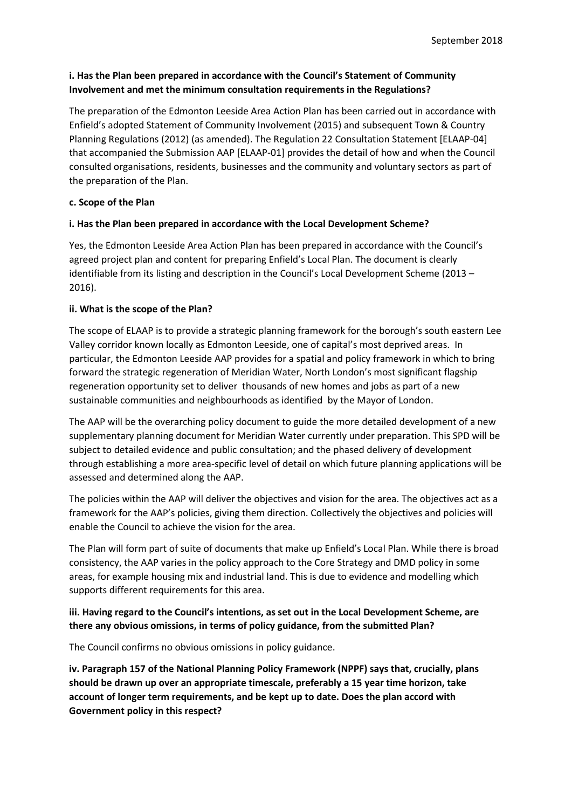## **i. Has the Plan been prepared in accordance with the Council's Statement of Community Involvement and met the minimum consultation requirements in the Regulations?**

The preparation of the Edmonton Leeside Area Action Plan has been carried out in accordance with Enfield's adopted Statement of Community Involvement (2015) and subsequent Town & Country Planning Regulations (2012) (as amended). The Regulation 22 Consultation Statement [ELAAP-04] that accompanied the Submission AAP [ELAAP-01] provides the detail of how and when the Council consulted organisations, residents, businesses and the community and voluntary sectors as part of the preparation of the Plan.

#### **c. Scope of the Plan**

### **i. Has the Plan been prepared in accordance with the Local Development Scheme?**

Yes, the Edmonton Leeside Area Action Plan has been prepared in accordance with the Council's agreed project plan and content for preparing Enfield's Local Plan. The document is clearly identifiable from its listing and description in the Council's Local Development Scheme (2013 – 2016).

#### **ii. What is the scope of the Plan?**

The scope of ELAAP is to provide a strategic planning framework for the borough's south eastern Lee Valley corridor known locally as Edmonton Leeside, one of capital's most deprived areas. In particular, the Edmonton Leeside AAP provides for a spatial and policy framework in which to bring forward the strategic regeneration of Meridian Water, North London's most significant flagship regeneration opportunity set to deliver thousands of new homes and jobs as part of a new sustainable communities and neighbourhoods as identified by the Mayor of London.

The AAP will be the overarching policy document to guide the more detailed development of a new supplementary planning document for Meridian Water currently under preparation. This SPD will be subject to detailed evidence and public consultation; and the phased delivery of development through establishing a more area-specific level of detail on which future planning applications will be assessed and determined along the AAP.

The policies within the AAP will deliver the objectives and vision for the area. The objectives act as a framework for the AAP's policies, giving them direction. Collectively the objectives and policies will enable the Council to achieve the vision for the area.

The Plan will form part of suite of documents that make up Enfield's Local Plan. While there is broad consistency, the AAP varies in the policy approach to the Core Strategy and DMD policy in some areas, for example housing mix and industrial land. This is due to evidence and modelling which supports different requirements for this area.

# **iii. Having regard to the Council's intentions, as set out in the Local Development Scheme, are there any obvious omissions, in terms of policy guidance, from the submitted Plan?**

The Council confirms no obvious omissions in policy guidance.

**iv. Paragraph 157 of the National Planning Policy Framework (NPPF) says that, crucially, plans should be drawn up over an appropriate timescale, preferably a 15 year time horizon, take account of longer term requirements, and be kept up to date. Does the plan accord with Government policy in this respect?**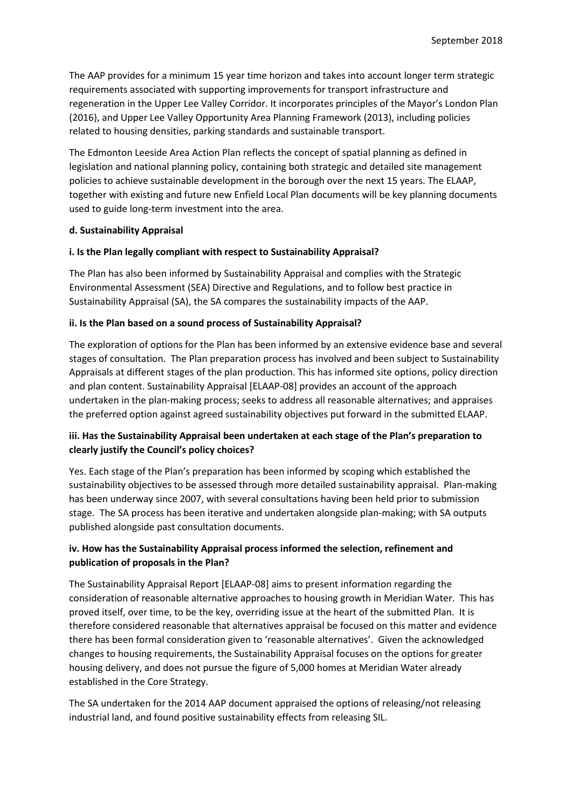The AAP provides for a minimum 15 year time horizon and takes into account longer term strategic requirements associated with supporting improvements for transport infrastructure and regeneration in the Upper Lee Valley Corridor. It incorporates principles of the Mayor's London Plan (2016), and Upper Lee Valley Opportunity Area Planning Framework (2013), including policies related to housing densities, parking standards and sustainable transport.

The Edmonton Leeside Area Action Plan reflects the concept of spatial planning as defined in legislation and national planning policy, containing both strategic and detailed site management policies to achieve sustainable development in the borough over the next 15 years. The ELAAP, together with existing and future new Enfield Local Plan documents will be key planning documents used to guide long-term investment into the area.

#### **d. Sustainability Appraisal**

#### **i. Is the Plan legally compliant with respect to Sustainability Appraisal?**

The Plan has also been informed by Sustainability Appraisal and complies with the Strategic Environmental Assessment (SEA) Directive and Regulations, and to follow best practice in Sustainability Appraisal (SA), the SA compares the sustainability impacts of the AAP.

#### **ii. Is the Plan based on a sound process of Sustainability Appraisal?**

The exploration of options for the Plan has been informed by an extensive evidence base and several stages of consultation. The Plan preparation process has involved and been subject to Sustainability Appraisals at different stages of the plan production. This has informed site options, policy direction and plan content. Sustainability Appraisal [ELAAP-08] provides an account of the approach undertaken in the plan-making process; seeks to address all reasonable alternatives; and appraises the preferred option against agreed sustainability objectives put forward in the submitted ELAAP.

### **iii. Has the Sustainability Appraisal been undertaken at each stage of the Plan's preparation to clearly justify the Council's policy choices?**

Yes. Each stage of the Plan's preparation has been informed by scoping which established the sustainability objectives to be assessed through more detailed sustainability appraisal. Plan-making has been underway since 2007, with several consultations having been held prior to submission stage. The SA process has been iterative and undertaken alongside plan-making; with SA outputs published alongside past consultation documents.

### **iv. How has the Sustainability Appraisal process informed the selection, refinement and publication of proposals in the Plan?**

The Sustainability Appraisal Report [ELAAP-08] aims to present information regarding the consideration of reasonable alternative approaches to housing growth in Meridian Water. This has proved itself, over time, to be the key, overriding issue at the heart of the submitted Plan. It is therefore considered reasonable that alternatives appraisal be focused on this matter and evidence there has been formal consideration given to 'reasonable alternatives'. Given the acknowledged changes to housing requirements, the Sustainability Appraisal focuses on the options for greater housing delivery, and does not pursue the figure of 5,000 homes at Meridian Water already established in the Core Strategy.

The SA undertaken for the 2014 AAP document appraised the options of releasing/not releasing industrial land, and found positive sustainability effects from releasing SIL.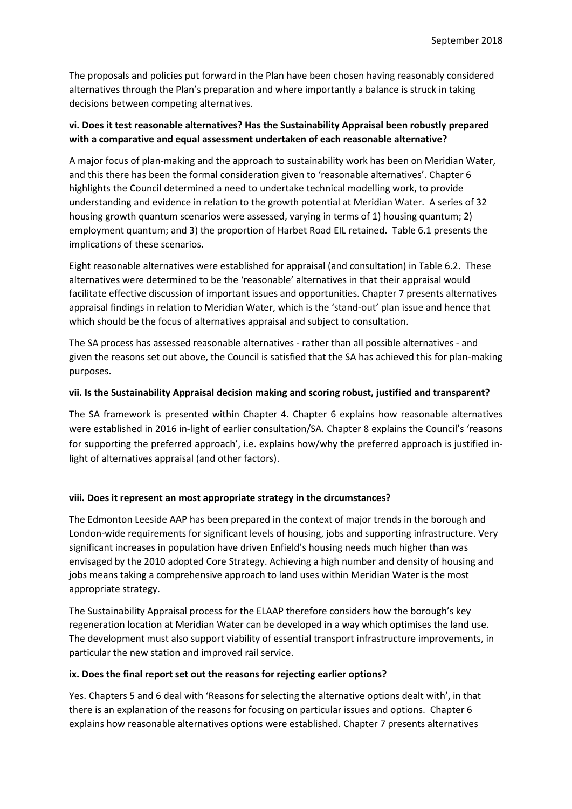The proposals and policies put forward in the Plan have been chosen having reasonably considered alternatives through the Plan's preparation and where importantly a balance is struck in taking decisions between competing alternatives.

## **vi. Does it test reasonable alternatives? Has the Sustainability Appraisal been robustly prepared with a comparative and equal assessment undertaken of each reasonable alternative?**

A major focus of plan-making and the approach to sustainability work has been on Meridian Water, and this there has been the formal consideration given to 'reasonable alternatives'. Chapter 6 highlights the Council determined a need to undertake technical modelling work, to provide understanding and evidence in relation to the growth potential at Meridian Water. A series of 32 housing growth quantum scenarios were assessed, varying in terms of 1) housing quantum; 2) employment quantum; and 3) the proportion of Harbet Road EIL retained. Table 6.1 presents the implications of these scenarios.

Eight reasonable alternatives were established for appraisal (and consultation) in Table 6.2. These alternatives were determined to be the 'reasonable' alternatives in that their appraisal would facilitate effective discussion of important issues and opportunities. Chapter 7 presents alternatives appraisal findings in relation to Meridian Water, which is the 'stand-out' plan issue and hence that which should be the focus of alternatives appraisal and subject to consultation.

The SA process has assessed reasonable alternatives - rather than all possible alternatives - and given the reasons set out above, the Council is satisfied that the SA has achieved this for plan-making purposes.

#### **vii. Is the Sustainability Appraisal decision making and scoring robust, justified and transparent?**

The SA framework is presented within Chapter 4. Chapter 6 explains how reasonable alternatives were established in 2016 in-light of earlier consultation/SA. Chapter 8 explains the Council's 'reasons for supporting the preferred approach', i.e. explains how/why the preferred approach is justified inlight of alternatives appraisal (and other factors).

### **viii. Does it represent an most appropriate strategy in the circumstances?**

The Edmonton Leeside AAP has been prepared in the context of major trends in the borough and London-wide requirements for significant levels of housing, jobs and supporting infrastructure. Very significant increases in population have driven Enfield's housing needs much higher than was envisaged by the 2010 adopted Core Strategy. Achieving a high number and density of housing and jobs means taking a comprehensive approach to land uses within Meridian Water is the most appropriate strategy.

The Sustainability Appraisal process for the ELAAP therefore considers how the borough's key regeneration location at Meridian Water can be developed in a way which optimises the land use. The development must also support viability of essential transport infrastructure improvements, in particular the new station and improved rail service.

#### **ix. Does the final report set out the reasons for rejecting earlier options?**

Yes. Chapters 5 and 6 deal with 'Reasons for selecting the alternative options dealt with', in that there is an explanation of the reasons for focusing on particular issues and options. Chapter 6 explains how reasonable alternatives options were established. Chapter 7 presents alternatives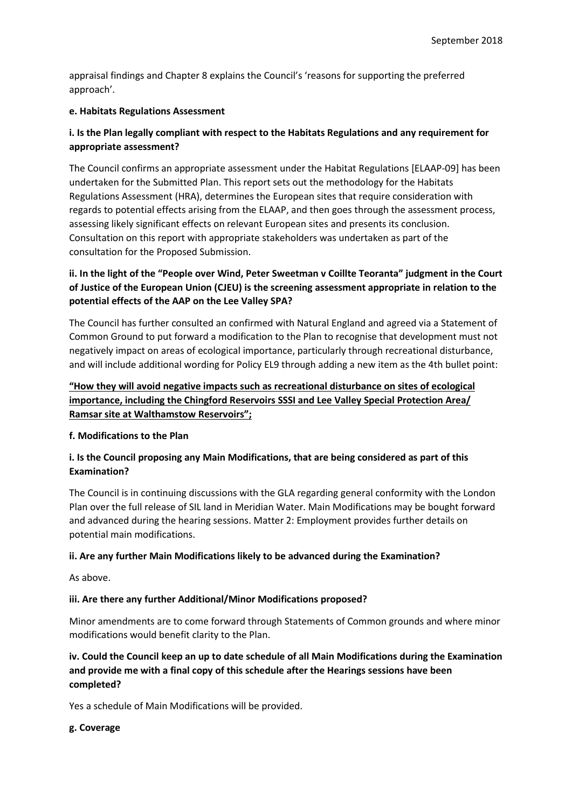appraisal findings and Chapter 8 explains the Council's 'reasons for supporting the preferred approach'.

#### **e. Habitats Regulations Assessment**

# **i. Is the Plan legally compliant with respect to the Habitats Regulations and any requirement for appropriate assessment?**

The Council confirms an appropriate assessment under the Habitat Regulations [ELAAP-09] has been undertaken for the Submitted Plan. This report sets out the methodology for the Habitats Regulations Assessment (HRA), determines the European sites that require consideration with regards to potential effects arising from the ELAAP, and then goes through the assessment process, assessing likely significant effects on relevant European sites and presents its conclusion. Consultation on this report with appropriate stakeholders was undertaken as part of the consultation for the Proposed Submission.

# **ii. In the light of the "People over Wind, Peter Sweetman v Coillte Teoranta" judgment in the Court of Justice of the European Union (CJEU) is the screening assessment appropriate in relation to the potential effects of the AAP on the Lee Valley SPA?**

The Council has further consulted an confirmed with Natural England and agreed via a Statement of Common Ground to put forward a modification to the Plan to recognise that development must not negatively impact on areas of ecological importance, particularly through recreational disturbance, and will include additional wording for Policy EL9 through adding a new item as the 4th bullet point:

# **"How they will avoid negative impacts such as recreational disturbance on sites of ecological importance, including the Chingford Reservoirs SSSI and Lee Valley Special Protection Area/ Ramsar site at Walthamstow Reservoirs";**

### **f. Modifications to the Plan**

# **i. Is the Council proposing any Main Modifications, that are being considered as part of this Examination?**

The Council is in continuing discussions with the GLA regarding general conformity with the London Plan over the full release of SIL land in Meridian Water. Main Modifications may be bought forward and advanced during the hearing sessions. Matter 2: Employment provides further details on potential main modifications.

### **ii. Are any further Main Modifications likely to be advanced during the Examination?**

As above.

### **iii. Are there any further Additional/Minor Modifications proposed?**

Minor amendments are to come forward through Statements of Common grounds and where minor modifications would benefit clarity to the Plan.

# **iv. Could the Council keep an up to date schedule of all Main Modifications during the Examination and provide me with a final copy of this schedule after the Hearings sessions have been completed?**

Yes a schedule of Main Modifications will be provided.

#### **g. Coverage**